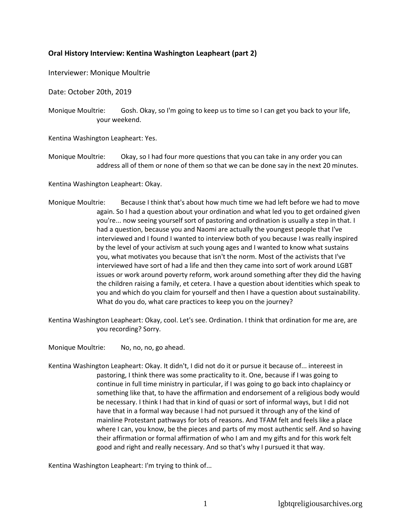## **Oral History Interview: Kentina Washington Leapheart (part 2)**

## Interviewer: Monique Moultrie

Date: October 20th, 2019

Monique Moultrie: Gosh. Okay, so I'm going to keep us to time so I can get you back to your life, your weekend.

Kentina Washington Leapheart: Yes.

Monique Moultrie: Okay, so I had four more questions that you can take in any order you can address all of them or none of them so that we can be done say in the next 20 minutes.

Kentina Washington Leapheart: Okay.

- Monique Moultrie: Because I think that's about how much time we had left before we had to move again. So I had a question about your ordination and what led you to get ordained given you're... now seeing yourself sort of pastoring and ordination is usually a step in that. I had a question, because you and Naomi are actually the youngest people that I've interviewed and I found I wanted to interview both of you because I was really inspired by the level of your activism at such young ages and I wanted to know what sustains you, what motivates you because that isn't the norm. Most of the activists that I've interviewed have sort of had a life and then they came into sort of work around LGBT issues or work around poverty reform, work around something after they did the having the children raising a family, et cetera. I have a question about identities which speak to you and which do you claim for yourself and then I have a question about sustainability. What do you do, what care practices to keep you on the journey?
- Kentina Washington Leapheart: Okay, cool. Let's see. Ordination. I think that ordination for me are, are you recording? Sorry.

Monique Moultrie: No, no, no, go ahead.

Kentina Washington Leapheart: Okay. It didn't, I did not do it or pursue it because of... intereest in pastoring, I think there was some practicality to it. One, because if I was going to continue in full time ministry in particular, if I was going to go back into chaplaincy or something like that, to have the affirmation and endorsement of a religious body would be necessary. I think I had that in kind of quasi or sort of informal ways, but I did not have that in a formal way because I had not pursued it through any of the kind of mainline Protestant pathways for lots of reasons. And TFAM felt and feels like a place where I can, you know, be the pieces and parts of my most authentic self. And so having their affirmation or formal affirmation of who I am and my gifts and for this work felt good and right and really necessary. And so that's why I pursued it that way.

Kentina Washington Leapheart: I'm trying to think of...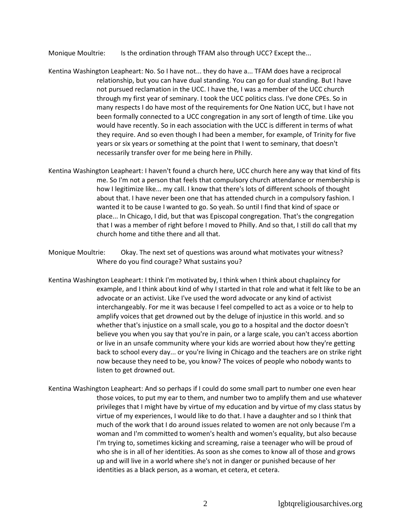Monique Moultrie: Is the ordination through TFAM also through UCC? Except the...

- Kentina Washington Leapheart: No. So I have not... they do have a... TFAM does have a reciprocal relationship, but you can have dual standing. You can go for dual standing. But I have not pursued reclamation in the UCC. I have the, I was a member of the UCC church through my first year of seminary. I took the UCC politics class. I've done CPEs. So in many respects I do have most of the requirements for One Nation UCC, but I have not been formally connected to a UCC congregation in any sort of length of time. Like you would have recently. So in each association with the UCC is different in terms of what they require. And so even though I had been a member, for example, of Trinity for five years or six years or something at the point that I went to seminary, that doesn't necessarily transfer over for me being here in Philly.
- Kentina Washington Leapheart: I haven't found a church here, UCC church here any way that kind of fits me. So I'm not a person that feels that compulsory church attendance or membership is how I legitimize like... my call. I know that there's lots of different schools of thought about that. I have never been one that has attended church in a compulsory fashion. I wanted it to be cause I wanted to go. So yeah. So until I find that kind of space or place... In Chicago, I did, but that was Episcopal congregation. That's the congregation that I was a member of right before I moved to Philly. And so that, I still do call that my church home and tithe there and all that.
- Monique Moultrie: Okay. The next set of questions was around what motivates your witness? Where do you find courage? What sustains you?
- Kentina Washington Leapheart: I think I'm motivated by, I think when I think about chaplaincy for example, and I think about kind of why I started in that role and what it felt like to be an advocate or an activist. Like I've used the word advocate or any kind of activist interchangeably. For me it was because I feel compelled to act as a voice or to help to amplify voices that get drowned out by the deluge of injustice in this world. and so whether that's injustice on a small scale, you go to a hospital and the doctor doesn't believe you when you say that you're in pain, or a large scale, you can't access abortion or live in an unsafe community where your kids are worried about how they're getting back to school every day... or you're living in Chicago and the teachers are on strike right now because they need to be, you know? The voices of people who nobody wants to listen to get drowned out.
- Kentina Washington Leapheart: And so perhaps if I could do some small part to number one even hear those voices, to put my ear to them, and number two to amplify them and use whatever privileges that I might have by virtue of my education and by virtue of my class status by virtue of my experiences, I would like to do that. I have a daughter and so I think that much of the work that I do around issues related to women are not only because I'm a woman and I'm committed to women's health and women's equality, but also because I'm trying to, sometimes kicking and screaming, raise a teenager who will be proud of who she is in all of her identities. As soon as she comes to know all of those and grows up and will live in a world where she's not in danger or punished because of her identities as a black person, as a woman, et cetera, et cetera.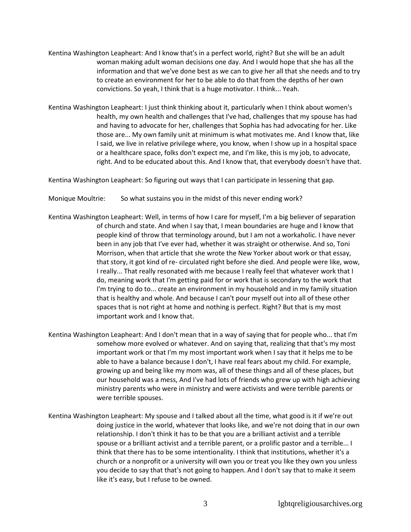- Kentina Washington Leapheart: And I know that's in a perfect world, right? But she will be an adult woman making adult woman decisions one day. And I would hope that she has all the information and that we've done best as we can to give her all that she needs and to try to create an environment for her to be able to do that from the depths of her own convictions. So yeah, I think that is a huge motivator. I think... Yeah.
- Kentina Washington Leapheart: I just think thinking about it, particularly when I think about women's health, my own health and challenges that I've had, challenges that my spouse has had and having to advocate for her, challenges that Sophia has had advocating for her. Like those are... My own family unit at minimum is what motivates me. And I know that, like I said, we live in relative privilege where, you know, when I show up in a hospital space or a healthcare space, folks don't expect me, and I'm like, this is my job, to advocate, right. And to be educated about this. And I know that, that everybody doesn't have that.

Kentina Washington Leapheart: So figuring out ways that I can participate in lessening that gap.

Monique Moultrie: So what sustains you in the midst of this never ending work?

- Kentina Washington Leapheart: Well, in terms of how I care for myself, I'm a big believer of separation of church and state. And when I say that, I mean boundaries are huge and I know that people kind of throw that terminology around, but I am not a workaholic. I have never been in any job that I've ever had, whether it was straight or otherwise. And so, Toni Morrison, when that article that she wrote the New Yorker about work or that essay, that story, it got kind of re- circulated right before she died. And people were like, wow, I really... That really resonated with me because I really feel that whatever work that I do, meaning work that I'm getting paid for or work that is secondary to the work that I'm trying to do to... create an environment in my household and in my family situation that is healthy and whole. And because I can't pour myself out into all of these other spaces that is not right at home and nothing is perfect. Right? But that is my most important work and I know that.
- Kentina Washington Leapheart: And I don't mean that in a way of saying that for people who... that I'm somehow more evolved or whatever. And on saying that, realizing that that's my most important work or that I'm my most important work when I say that it helps me to be able to have a balance because I don't, I have real fears about my child. For example, growing up and being like my mom was, all of these things and all of these places, but our household was a mess, And I've had lots of friends who grew up with high achieving ministry parents who were in ministry and were activists and were terrible parents or were terrible spouses.
- Kentina Washington Leapheart: My spouse and I talked about all the time, what good is it if we're out doing justice in the world, whatever that looks like, and we're not doing that in our own relationship. I don't think it has to be that you are a brilliant activist and a terrible spouse or a brilliant activist and a terrible parent, or a prolific pastor and a terrible... I think that there has to be some intentionality. I think that institutions, whether it's a church or a nonprofit or a university will own you or treat you like they own you unless you decide to say that that's not going to happen. And I don't say that to make it seem like it's easy, but I refuse to be owned.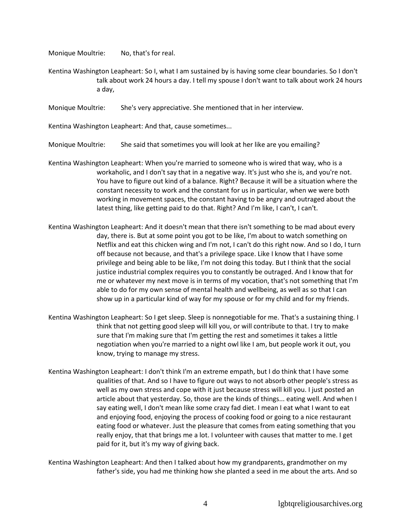Monique Moultrie: No, that's for real.

- Kentina Washington Leapheart: So I, what I am sustained by is having some clear boundaries. So I don't talk about work 24 hours a day. I tell my spouse I don't want to talk about work 24 hours a day,
- Monique Moultrie: She's very appreciative. She mentioned that in her interview.

Kentina Washington Leapheart: And that, cause sometimes...

- Monique Moultrie: She said that sometimes you will look at her like are you emailing?
- Kentina Washington Leapheart: When you're married to someone who is wired that way, who is a workaholic, and I don't say that in a negative way. It's just who she is, and you're not. You have to figure out kind of a balance. Right? Because it will be a situation where the constant necessity to work and the constant for us in particular, when we were both working in movement spaces, the constant having to be angry and outraged about the latest thing, like getting paid to do that. Right? And I'm like, I can't, I can't.
- Kentina Washington Leapheart: And it doesn't mean that there isn't something to be mad about every day, there is. But at some point you got to be like, I'm about to watch something on Netflix and eat this chicken wing and I'm not, I can't do this right now. And so I do, I turn off because not because, and that's a privilege space. Like I know that I have some privilege and being able to be like, I'm not doing this today. But I think that the social justice industrial complex requires you to constantly be outraged. And I know that for me or whatever my next move is in terms of my vocation, that's not something that I'm able to do for my own sense of mental health and wellbeing, as well as so that I can show up in a particular kind of way for my spouse or for my child and for my friends.
- Kentina Washington Leapheart: So I get sleep. Sleep is nonnegotiable for me. That's a sustaining thing. I think that not getting good sleep will kill you, or will contribute to that. I try to make sure that I'm making sure that I'm getting the rest and sometimes it takes a little negotiation when you're married to a night owl like I am, but people work it out, you know, trying to manage my stress.
- Kentina Washington Leapheart: I don't think I'm an extreme empath, but I do think that I have some qualities of that. And so I have to figure out ways to not absorb other people's stress as well as my own stress and cope with it just because stress will kill you. I just posted an article about that yesterday. So, those are the kinds of things... eating well. And when I say eating well, I don't mean like some crazy fad diet. I mean I eat what I want to eat and enjoying food, enjoying the process of cooking food or going to a nice restaurant eating food or whatever. Just the pleasure that comes from eating something that you really enjoy, that that brings me a lot. I volunteer with causes that matter to me. I get paid for it, but it's my way of giving back.
- Kentina Washington Leapheart: And then I talked about how my grandparents, grandmother on my father's side, you had me thinking how she planted a seed in me about the arts. And so